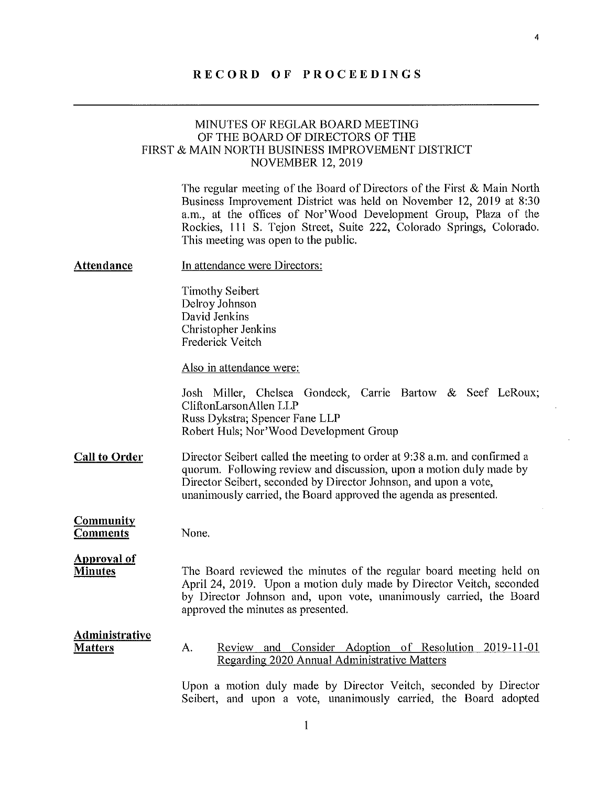# RECORD OF PROCEEDINGS

## MINUTES OF REGLAR BOARD MEETING OF THE BOARD OF DIRECTORS OF THE FIRST & MAIN NORTH BUSINESS IMPROVEMENT DISTRICT NOVEMBER 12, 2019

The regular meeting of the Board of Directors of the First & Main North Business Improvement District was held on November 12, 2019 at 8:30 a.m., at the offices of Nor'Wood Development Group, Plaza of the Rockies, Ill S. Tejon Street, Sute 222, Colorado Springs, Colorado. This meeting was open to the public.

 $\overline{\bf{4}}$ 

| <b>Attendance</b>                       | In attendance were Directors:                                                                                                                                                                                                                                                            |
|-----------------------------------------|------------------------------------------------------------------------------------------------------------------------------------------------------------------------------------------------------------------------------------------------------------------------------------------|
|                                         | <b>Timothy Seibert</b><br>Delroy Johnson<br>David Jenkins<br>Christopher Jenkins<br><b>Frederick Veitch</b>                                                                                                                                                                              |
|                                         | Also in attendance were:                                                                                                                                                                                                                                                                 |
|                                         | Josh Miller, Chelsea Gondeck, Carrie Bartow & Seef LeRoux;<br>CliftonLarsonAllen LLP<br>Russ Dykstra; Spencer Fane LLP<br>Robert Huls; Nor'Wood Development Group                                                                                                                        |
| <b>Call to Order</b>                    | Director Seibert called the meeting to order at 9:38 a.m. and confirmed a<br>quorum. Following review and discussion, upon a motion duly made by<br>Director Seibert, seconded by Director Johnson, and upon a vote,<br>unanimously carried, the Board approved the agenda as presented. |
| <b>Community</b><br><b>Comments</b>     | None.                                                                                                                                                                                                                                                                                    |
| <b>Approval of</b><br><b>Minutes</b>    | The Board reviewed the minutes of the regular board meeting held on<br>April 24, 2019. Upon a motion duly made by Director Veitch, seconded<br>by Director Johnson and, upon vote, unanimously carried, the Board<br>approved the minutes as presented.                                  |
| <b>Administrative</b><br><b>Matters</b> | Review and Consider Adoption of Resolution 2019-11-01<br>А.<br>Regarding 2020 Annual Administrative Matters                                                                                                                                                                              |
|                                         | Upon a motion duly made by Director Veitch, seconded by Director<br>Seibert, and upon a vote, unanimously carried, the Board adopted                                                                                                                                                     |

 $\mathbf{1}$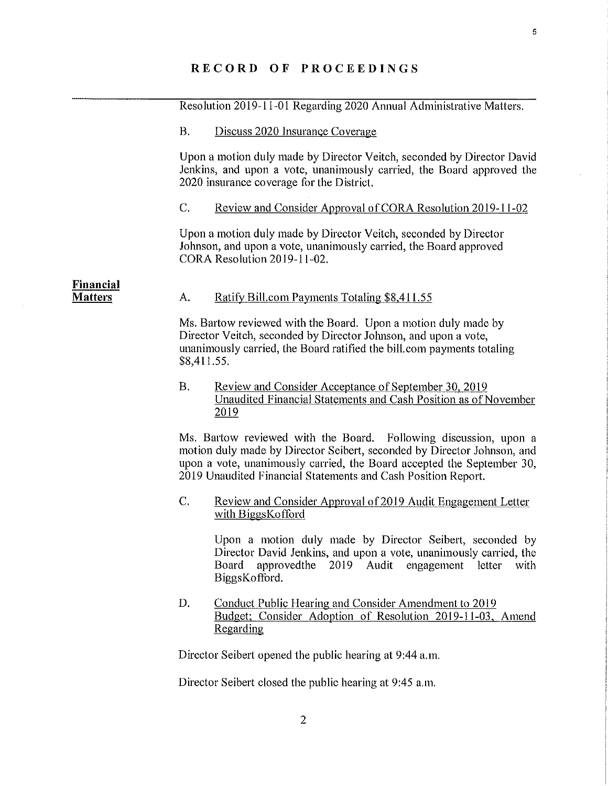### RECORD OF PROCEEDINGS

Resolution 2019-11-01 Regarding 2020 Annual Administrative Matters,

### B. Discuss 2020 Insurance Coverage

Upon a motion duly made by Director Veitch, seconded by Director David Jenkins, and upon a vote, unanimously carried, the Board approved the 2020 insurance coverage for the District.

C. Review and Consider Approval of CORA Resolution 2019-11-02

Upon a motion duly made by Director Veitch, seconded by Director Johnson, and upon a vote, unanimously carried, the Board approved CORA Resolution 2019-11-02.

**Financial**<br>Matters

### A. Ratify Bill.com Payments Totaling \$8,411.55

Ms. Bartow reviewed with the Board. Upon a motion duly made by Director Veitch, seconded by Director Johnson, and upon a vote, unanimously carried, the Board ratified the bill.com payments totaling \$8,411.55.

### $B<sub>1</sub>$ Review and Consider Acceptance of September 30, 2019 Unaudited Financial Statements and Cash Position as of November 2019

Ms. Bartow reviewed with the Board. Following discussion, upon a motion duly made by Director Seibert, seconded by Director Johnson, and upon a vote, unanimously carried, the Board accepted the September 30, 2019 Unaudited Financial Statements and Cash Position Report.

### C. Review and Consider Approval of 2019 Audit Engagement Letter with BiggsKofford

Upon a motion duly made by Director Seibert, seconded by Director David Jenkins, and upon a vote, unanimously carried, the Board approvedthe 2019 Audit engagement letter with BiggsKofford.

D. Conduct Public Hearing and Consider Amendment to 2019 Budget: Consider Adoption of Resolution 2019-11-03, Amend Regarding

Director Seibert opened the public hearing at 9:44 a.m.

Director Seibert closed the public hearing at 9:45 a.m.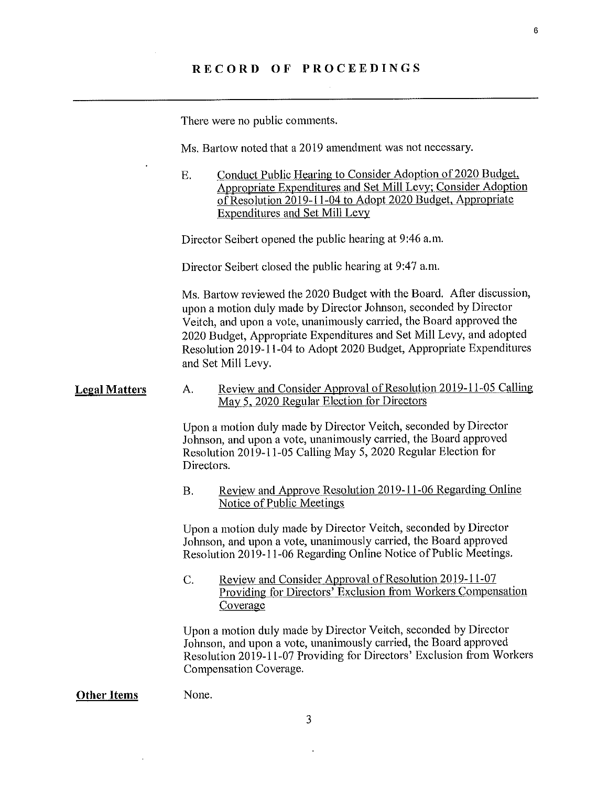There were no public comments.

Ms. Bartow noted that a 2019 amendment was not necessary.

E. Conduct Public Hearing to Consider Adoption of 2020 Budget, Appropriate Expenditures and Set Mill Levy; Consider Adoption<br>of Resolution 2019-11-04 to Adopt 2020 Budget, Appropriate **Expenditures and Set Mill Levy** 

Director Seibert opened the public hearing at 9:46 a.m.

Director Seibert closed the public hearing at 9:47 a.m.

Ms. Bartow reviewed the 2020 Budget with the Board. After discussion, upon a motion duly made by Director Johnson, seconded by Director Veitch, and upon a vote, unanimously carried, the Board approved the 2020 Budget, Appropriate Expenditures and Set Mill Levy, and adopted Resolution 2019-11-04 to Adopt 2020 Budget, Appropriate Expenditures and Set Mill Levy.

#### **Legal Matters** A. Review and Consider Approval of Resolution 2019-11-05 Calling May 5, 2020 Regular Election for Directors

Upon a motion duly made by Director Veitch, seconded by Director Johnson, and upon a vote, unanimously carried, the Board approved Resolution 2019-11-05 Calling May 5, 2020 Regular Election for Directors.

Review and Approve Resolution 2019-11-06 Regarding Online  $\mathbf{B}$ . Notice of Public Meetings

Upon a motion duly made by Director Veitch, seconded by Director Johnson, and upon a vote, unanimously carried, the Board approved Resolution 2019-11-06 Regarding Online Notice of Public Meetings.

Review and Consider Approval of Resolution 2019-11-07 C. Providing for Directors' Exclusion from Workers Compensation Coverage

Upon a motion duly made by Director Veitch, seconded by Director Johnson, and upon a vote, unanimously carried, the Board approved Resolution 2019-11-07 Providing for Directors' Exclusion from Workers Compensation Coverage.

### Other Items None.

3